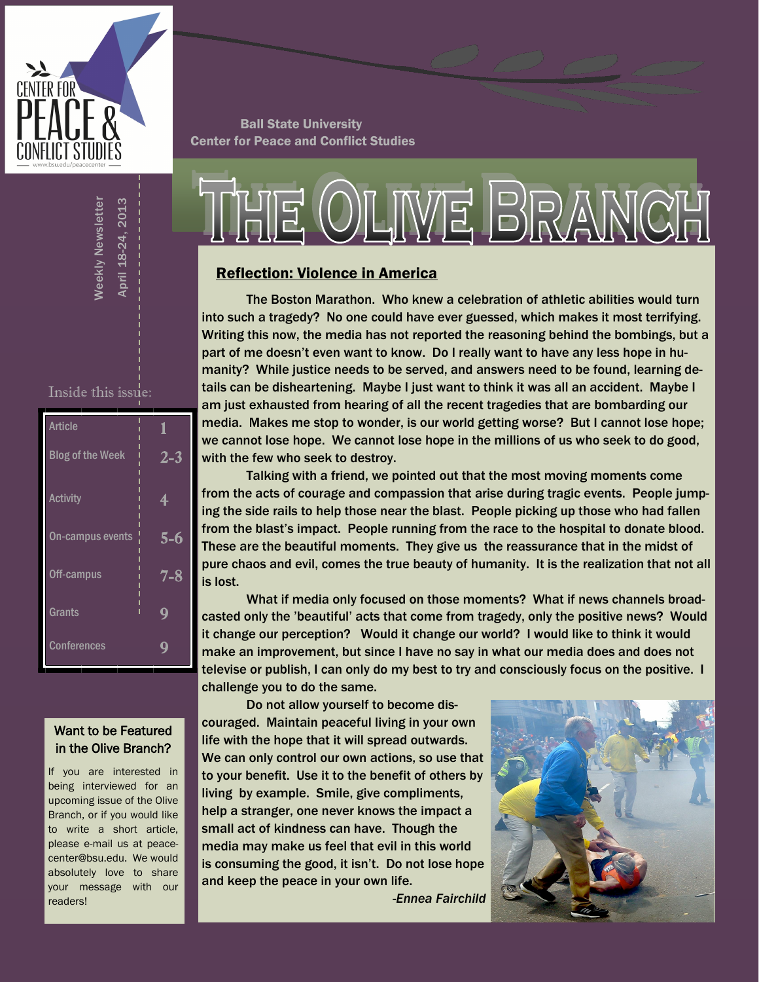

Ball State University Center for Peace and Conflict Studies

# OILIWE BRANCH

### Reflection: Violence in America

The Boston Marathon. Who knew a celebration of athletic abilities would turn into such a tragedy? No one could have ever guessed, which makes it most terrifying. Writing this now, the media has not reported the reasoning behind the bombings, but a part of me doesn't even want to know. Do I really want to have any less hope in humanity? While justice needs to be served, and answers need to be found, learning details can be disheartening. Maybe I just want to think it was all an accident. Maybe I am just exhausted from hearing of all the recent tragedies that are bombarding our media. Makes me stop to wonder, is our world getting worse? But I cannot lose hope; we cannot lose hope. We cannot lose hope in the millions of us who seek to do good, with the few who seek to destroy.

Talking with a friend, we pointed out that the most moving moments come from the acts of courage and compassion that arise during tragic events. People jumping the side rails to help those near the blast. People picking up those who had fallen from the blast's impact. People running from the race to the hospital to donate blood. These are the beautiful moments. They give us the reassurance that in the midst of pure chaos and evil, comes the true beauty of humanity. It is the realization that not all is lost.

What if media only focused on those moments? What if news channels broadcasted only the 'beautiful' acts that come from tragedy, only the positive news? Would it change our perception? Would it change our world? I would like to think it would make an improvement, but since I have no say in what our media does and does not televise or publish, I can only do my best to try and consciously focus on the positive. I challenge you to do the same.

Do not allow yourself to become discouraged. Maintain peaceful living in your own life with the hope that it will spread outwards. We can only control our own actions, so use that to your benefit. Use it to the benefit of others by living by example. Smile, give compliments, help a stranger, one never knows the impact a small act of kindness can have. Though the media may make us feel that evil in this world is consuming the good, it isn't. Do not lose hope and keep the peace in your own life.

 *-Ennea Fairchild*



### Inside this issue:

April 18-24, 2013 Weekly Newsletter

April 18-24.

**Neekly Newsletter** 

2013

| <b>Article</b>          | 1       |
|-------------------------|---------|
| <b>Blog of the Week</b> | $2 - 3$ |
| <b>Activity</b>         | 4       |
| On-campus events        | 5-6     |
| Off-campus              | 7-8     |
| Grants                  | g       |
| <b>Conferences</b>      |         |

### Want to be Featured in the Olive Branch?

If you are interested in being interviewed for an upcoming issue of the Olive Branch, or if you would like to write a short article, please e-mail us at peacecenter@bsu.edu. We would absolutely love to share your message with our readers!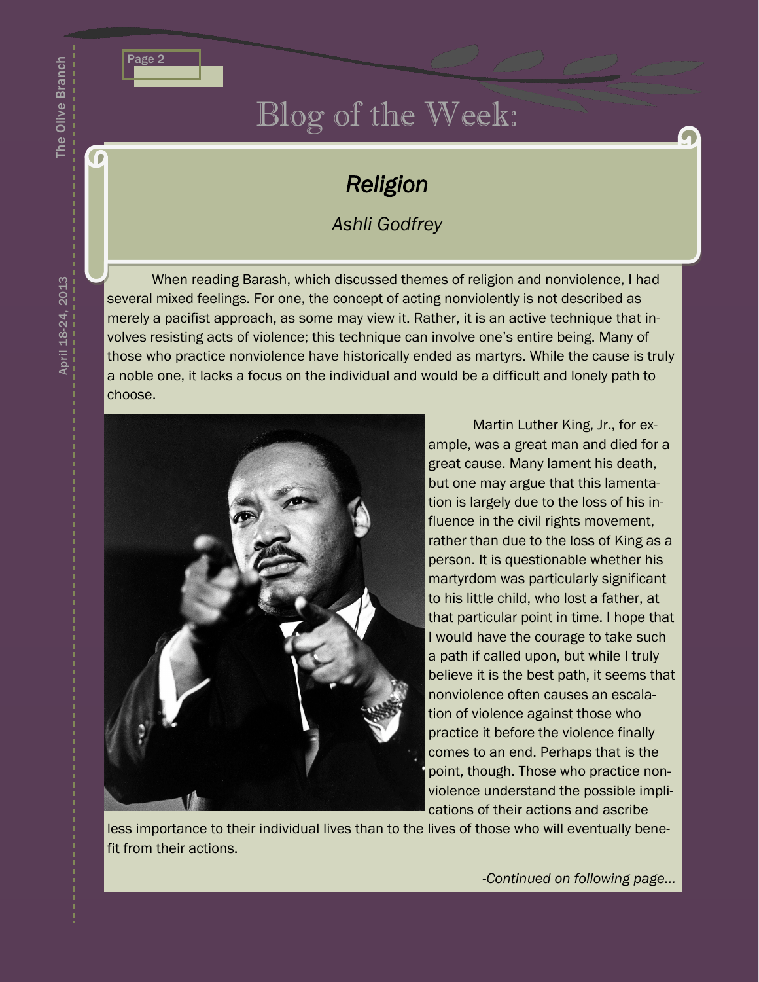

### Blog of the Week:

### *Religion*

### *Ashli Godfrey*

When reading Barash, which discussed themes of religion and nonviolence, I had several mixed feelings. For one, the concept of acting nonviolently is not described as merely a pacifist approach, as some may view it. Rather, it is an active technique that involves resisting acts of violence; this technique can involve one's entire being. Many of those who practice nonviolence have historically ended as martyrs. While the cause is truly a noble one, it lacks a focus on the individual and would be a difficult and lonely path to choose.



Martin Luther King, Jr., for example, was a great man and died for a great cause. Many lament his death, but one may argue that this lamentation is largely due to the loss of his influence in the civil rights movement, rather than due to the loss of King as a person. It is questionable whether his martyrdom was particularly significant to his little child, who lost a father, at that particular point in time. I hope that I would have the courage to take such a path if called upon, but while I truly believe it is the best path, it seems that nonviolence often causes an escalation of violence against those who practice it before the violence finally comes to an end. Perhaps that is the point, though. Those who practice nonviolence understand the possible implications of their actions and ascribe

less importance to their individual lives than to the lives of those who will eventually benefit from their actions.

*-Continued on following page...*

The Olive Branch

The Olive Branch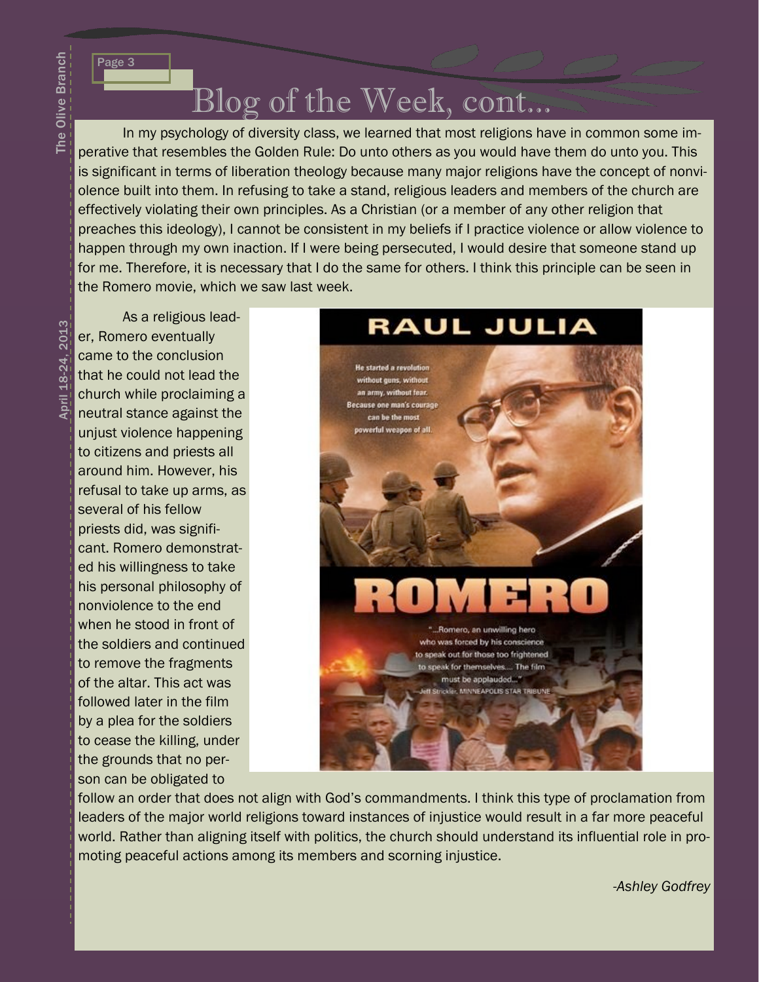Page 3

Blog of the Week, cont...

In my psychology of diversity class, we learned that most religions have in common some imperative that resembles the Golden Rule: Do unto others as you would have them do unto you. This is significant in terms of liberation theology because many major religions have the concept of nonviolence built into them. In refusing to take a stand, religious leaders and members of the church are effectively violating their own principles. As a Christian (or a member of any other religion that preaches this ideology), I cannot be consistent in my beliefs if I practice violence or allow violence to happen through my own inaction. If I were being persecuted, I would desire that someone stand up for me. Therefore, it is necessary that I do the same for others. I think this principle can be seen in the Romero movie, which we saw last week.

April 18-24, 2013 April 18-24, 2013

As a religious leader, Romero eventually came to the conclusion that he could not lead the church while proclaiming a neutral stance against the unjust violence happening to citizens and priests all around him. However, his refusal to take up arms, as several of his fellow priests did, was significant. Romero demonstrated his willingness to take his personal philosophy of nonviolence to the end when he stood in front of the soldiers and continued to remove the fragments of the altar. This act was followed later in the film by a plea for the soldiers to cease the killing, under the grounds that no person can be obligated to



follow an order that does not align with God's commandments. I think this type of proclamation from leaders of the major world religions toward instances of injustice would result in a far more peaceful world. Rather than aligning itself with politics, the church should understand its influential role in promoting peaceful actions among its members and scorning injustice.

-*Ashley Godfrey*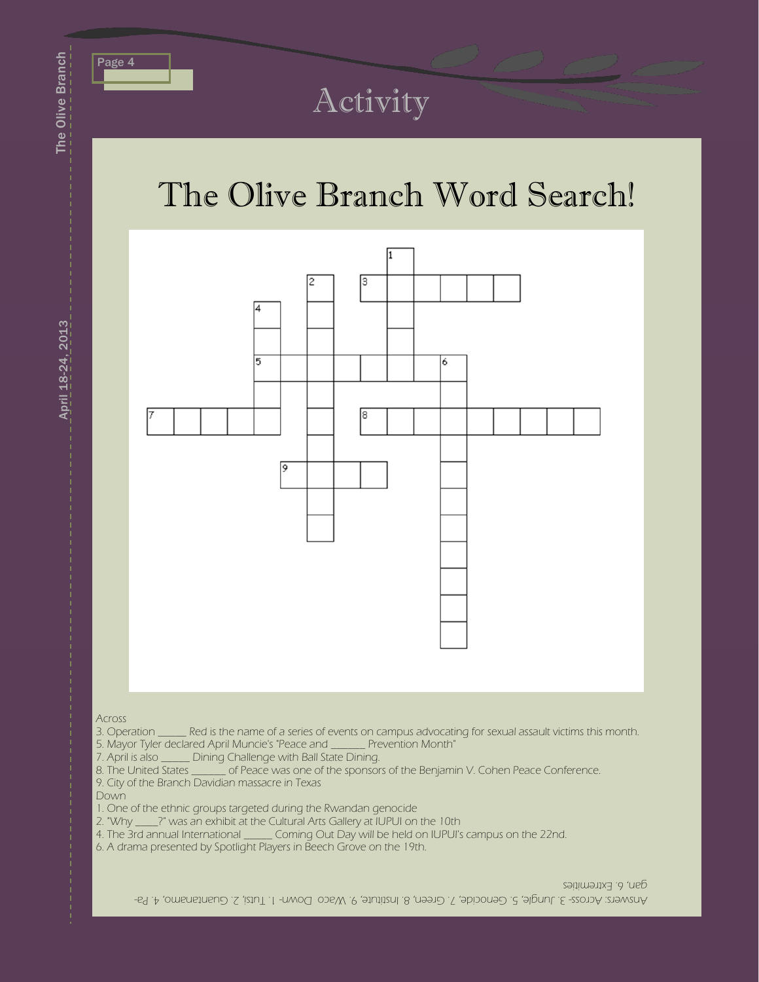

## Activity

# The Olive Branch Word Search!



Across

3. Operation \_\_\_\_\_\_ Red is the name of a series of events on campus advocating for sexual assault victims this month.<br>5. Mayor Tyler declared April Muncie's "Peace and \_\_\_\_\_\_\_ Prevention Month" 5. Mayor Tyler declared April Muncie's "Peace and \_\_\_\_

- 7. April is also \_\_\_\_\_\_ Dining Challenge with Ball State Dining.<br>8. The United States \_\_\_\_\_\_\_ of Peace was one of the sponsor  $\leq$  of Peace was one of the sponsors of the Benjamin V. Cohen Peace Conference.
- 9. City of the Branch Davidian massacre in Texas

Down

- 1. One of the ethnic groups targeted during the Rwandan genocide
- 2. "Why \_\_\_\_?" was an exhibit at the Cultural Arts Gallery at IUPUI on the 10th
- 4. The 3rd annual International \_\_\_\_\_ Coming Out Day will be held on IUPUI's campus on the 22nd.
- 6. A drama presented by Spotlight Players in Beech Grove on the 19th.

gan, 6. Extremities

Anamo, Across- 3. Jungle, 5. Genocide, 7. Creen, 8. Institute, 9. Waco Down- 1. Tutsi, 2. Guantanamo, 4. Pa-

The Olive Branch

The Olive Branch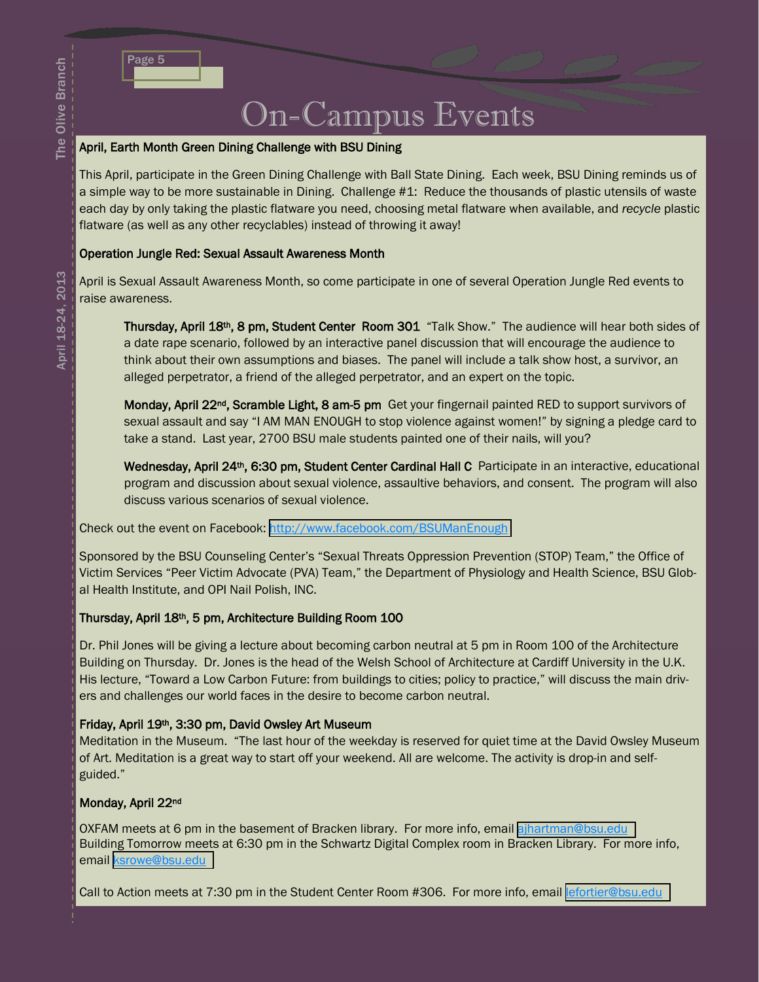### On-Campus Events

### April, Earth Month Green Dining Challenge with BSU Dining

This April, participate in the Green Dining Challenge with Ball State Dining. Each week, BSU Dining reminds us of a simple way to be more sustainable in Dining. Challenge #1: Reduce the thousands of plastic utensils of waste each day by only taking the plastic flatware you need, choosing metal flatware when available, and *recycle* plastic flatware (as well as any other recyclables) instead of throwing it away!

### Operation Jungle Red: Sexual Assault Awareness Month

April is Sexual Assault Awareness Month, so come participate in one of several Operation Jungle Red events to raise awareness.

Thursday, April 18<sup>th</sup>, 8 pm, Student Center Room 301 "Talk Show." The audience will hear both sides of a date rape scenario, followed by an interactive panel discussion that will encourage the audience to think about their own assumptions and biases. The panel will include a talk show host, a survivor, an alleged perpetrator, a friend of the alleged perpetrator, and an expert on the topic.

Monday, April 22<sup>nd</sup>, Scramble Light, 8 am-5 pm Get your fingernail painted RED to support survivors of sexual assault and say "I AM MAN ENOUGH to stop violence against women!" by signing a pledge card to take a stand. Last year, 2700 BSU male students painted one of their nails, will you?

Wednesday, April 24<sup>th</sup>, 6:30 pm, Student Center Cardinal Hall C Participate in an interactive, educational program and discussion about sexual violence, assaultive behaviors, and consent. The program will also discuss various scenarios of sexual violence.

Check out the event on Facebook:<http://www.facebook.com/BSUManEnough>

Sponsored by the BSU Counseling Center's "Sexual Threats Oppression Prevention (STOP) Team," the Office of Victim Services "Peer Victim Advocate (PVA) Team," the Department of Physiology and Health Science, BSU Global Health Institute, and OPI Nail Polish, INC.

### Thursday, April 18th, 5 pm, Architecture Building Room 100

Dr. Phil Jones will be giving a lecture about becoming carbon neutral at 5 pm in Room 100 of the Architecture Building on Thursday. Dr. Jones is the head of the Welsh School of Architecture at Cardiff University in the U.K. His lecture, "Toward a Low Carbon Future: from buildings to cities; policy to practice," will discuss the main drivers and challenges our world faces in the desire to become carbon neutral.

### Friday, April 19th, 3:30 pm, David Owsley Art Museum

Meditation in the Museum. "The last hour of the weekday is reserved for quiet time at the David Owsley Museum of Art. Meditation is a great way to start off your weekend. All are welcome. The activity is drop-in and selfguided."

### Monday, April 22nd

OXFAM meets at 6 pm in the basement of Bracken library. For more info, email [ajhartman@bsu.edu](mailto:ajhartman@bsu.edu) Building Tomorrow meets at 6:30 pm in the Schwartz Digital Complex room in Bracken Library. For more info, email [ksrowe@bsu.edu](mailto:ksrowe@bsu.edu)

Call to Action meets at 7:30 pm in the Student Center Room #306. For more info, email [lefortier@bsu.edu](mailto:lefortier@bsu.edu)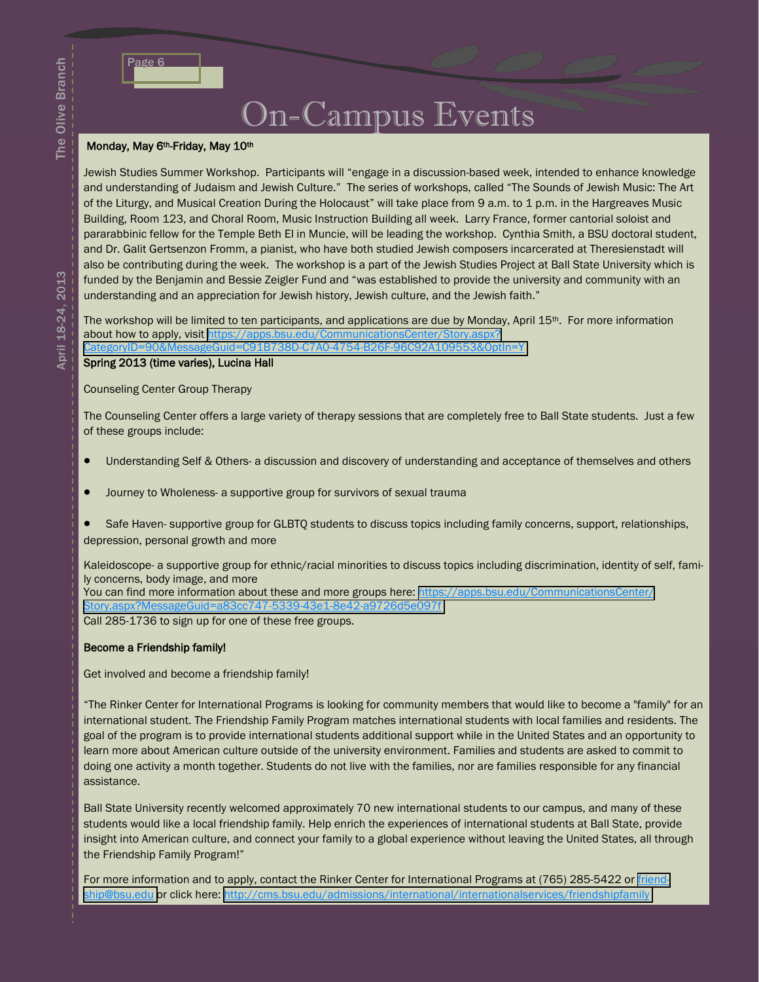The Olive Branch

The Olive Branch

| ٠<br>Р.<br>$\overline{\phantom{a}}$ |  |
|-------------------------------------|--|
|                                     |  |

### On-Campus Events

### Monday, May 6<sup>th</sup>-Friday, May 10<sup>th</sup>

Jewish Studies Summer Workshop. Participants will "engage in a discussion-based week, intended to enhance knowledge and understanding of Judaism and Jewish Culture." The series of workshops, called "The Sounds of Jewish Music: The Art of the Liturgy, and Musical Creation During the Holocaust" will take place from 9 a.m. to 1 p.m. in the Hargreaves Music Building, Room 123, and Choral Room, Music Instruction Building all week. Larry France, former cantorial soloist and pararabbinic fellow for the Temple Beth El in Muncie, will be leading the workshop. Cynthia Smith, a BSU doctoral student, and Dr. Galit Gertsenzon Fromm, a pianist, who have both studied Jewish composers incarcerated at Theresienstadt will also be contributing during the week. The workshop is a part of the Jewish Studies Project at Ball State University which is funded by the Benjamin and Bessie Zeigler Fund and "was established to provide the university and community with an understanding and an appreciation for Jewish history, Jewish culture, and the Jewish faith."

The workshop will be limited to ten participants, and applications are due by Monday, April 15<sup>th</sup>. For more information about how to apply, visit [https://apps.bsu.edu/CommunicationsCenter/Story.aspx?](https://apps.bsu.edu/CommunicationsCenter/Story.aspx?CategoryID=90&MessageGuid=C91B738D-C7A0-4754-B26F-96C92A109553&OptIn=Y)

[CategoryID=90&MessageGuid=C91B738D-C7A0-4754-B26F-96C92A109553&OptIn=Y](https://apps.bsu.edu/CommunicationsCenter/Story.aspx?CategoryID=90&MessageGuid=C91B738D-C7A0-4754-B26F-96C92A109553&OptIn=Y)

### Spring 2013 (time varies), Lucina Hall

#### Counseling Center Group Therapy

The Counseling Center offers a large variety of therapy sessions that are completely free to Ball State students. Just a few of these groups include:

- Understanding Self & Others- a discussion and discovery of understanding and acceptance of themselves and others
- Journey to Wholeness- a supportive group for survivors of sexual trauma
- Safe Haven- supportive group for GLBTQ students to discuss topics including family concerns, support, relationships, depression, personal growth and more

Kaleidoscope- a supportive group for ethnic/racial minorities to discuss topics including discrimination, identity of self, family concerns, body image, and more You can find more information about these and more groups here: [https://apps.bsu.edu/CommunicationsCenter/](https://apps.bsu.edu/CommunicationsCenter/Story.aspx?MessageGuid=a83cc747-5339-43e1-8e42-a9726d5e097f) [Story.aspx?MessageGuid=a83cc747-5339-43e1-8e42-a9726d5e097f](https://apps.bsu.edu/CommunicationsCenter/Story.aspx?MessageGuid=a83cc747-5339-43e1-8e42-a9726d5e097f) Call 285-1736 to sign up for one of these free groups.

#### Become a Friendship family!

Get involved and become a friendship family!

"The Rinker Center for International Programs is looking for community members that would like to become a "family" for an international student. The Friendship Family Program matches international students with local families and residents. The goal of the program is to provide international students additional support while in the United States and an opportunity to learn more about American culture outside of the university environment. Families and students are asked to commit to doing one activity a month together. Students do not live with the families, nor are families responsible for any financial assistance.

Ball State University recently welcomed approximately 70 new international students to our campus, and many of these students would like a local friendship family. Help enrich the experiences of international students at Ball State, provide insight into American culture, and connect your family to a global experience without leaving the United States, all through the Friendship Family Program!"

For more information and to apply, contact the Rinker Center for International Programs at (765) 285-5422 or [friend](mailto:friendship@bsu.edu)[ship@bsu.edu](mailto:friendship@bsu.edu) or click here: <http://cms.bsu.edu/admissions/international/internationalservices/friendshipfamily>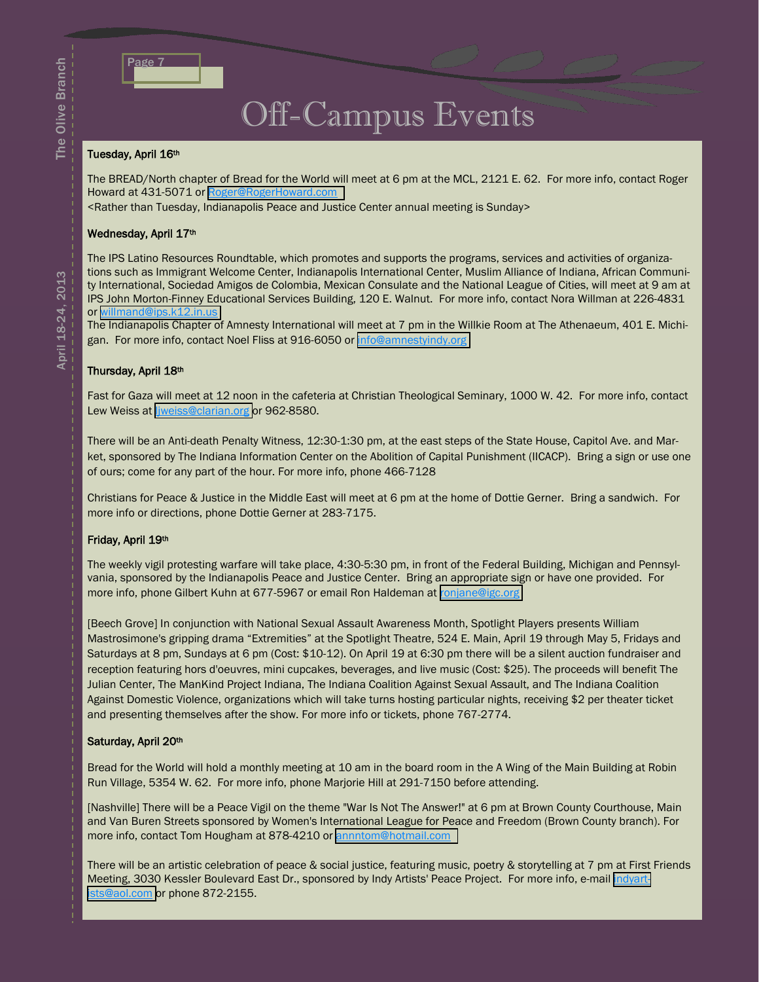

### Off-Campus Events

#### Tuesday, April 16th

The BREAD/North chapter of Bread for the World will meet at 6 pm at the MCL, 2121 E. 62. For more info, contact Roger Howard at 431-5071 or [Roger@RogerHoward.com](mailto:Roger@RogerHoward.com)

<Rather than Tuesday, Indianapolis Peace and Justice Center annual meeting is Sunday>

#### Wednesday, April 17th

The IPS Latino Resources Roundtable, which promotes and supports the programs, services and activities of organizations such as Immigrant Welcome Center, Indianapolis International Center, Muslim Alliance of Indiana, African Community International, Sociedad Amigos de Colombia, Mexican Consulate and the National League of Cities, will meet at 9 am at IPS John Morton-Finney Educational Services Building, 120 E. Walnut. For more info, contact Nora Willman at 226-4831 or [willmand@ips.k12.in.us](mailto:willmand@ips.k12.in.us)

The Indianapolis Chapter of Amnesty International will meet at 7 pm in the Willkie Room at The Athenaeum, 401 E. Michigan. For more info, contact Noel Fliss at 916-6050 or [info@amnestyindy.org](mailto:info@amnestyindy.org)

#### Thursday, April 18th

Fast for Gaza will meet at 12 noon in the cafeteria at Christian Theological Seminary, 1000 W. 42. For more info, contact Lew Weiss at liweiss@clarian.org or 962-8580.

There will be an Anti-death Penalty Witness, 12:30-1:30 pm, at the east steps of the State House, Capitol Ave. and Market, sponsored by The Indiana Information Center on the Abolition of Capital Punishment (IICACP). Bring a sign or use one of ours; come for any part of the hour. For more info, phone 466-7128

Christians for Peace & Justice in the Middle East will meet at 6 pm at the home of Dottie Gerner. Bring a sandwich. For more info or directions, phone Dottie Gerner at 283-7175.

#### Friday, April 19th

The weekly vigil protesting warfare will take place, 4:30-5:30 pm, in front of the Federal Building, Michigan and Pennsylvania, sponsored by the Indianapolis Peace and Justice Center. Bring an appropriate sign or have one provided. For more info, phone Gilbert Kuhn at 677-5967 or email Ron Haldeman at [ronjane@igc.org](mailto:ronjane@igc.org)

[Beech Grove] In conjunction with National Sexual Assault Awareness Month, Spotlight Players presents William Mastrosimone's gripping drama "Extremities" at the Spotlight Theatre, 524 E. Main, April 19 through May 5, Fridays and Saturdays at 8 pm, Sundays at 6 pm (Cost: \$10-12). On April 19 at 6:30 pm there will be a silent auction fundraiser and reception featuring hors d'oeuvres, mini cupcakes, beverages, and live music (Cost: \$25). The proceeds will benefit The Julian Center, The ManKind Project Indiana, The Indiana Coalition Against Sexual Assault, and The Indiana Coalition Against Domestic Violence, organizations which will take turns hosting particular nights, receiving \$2 per theater ticket and presenting themselves after the show. For more info or tickets, phone 767-2774.

#### Saturday, April 20th

Bread for the World will hold a monthly meeting at 10 am in the board room in the A Wing of the Main Building at Robin Run Village, 5354 W. 62. For more info, phone Marjorie Hill at 291-7150 before attending.

[Nashville] There will be a Peace Vigil on the theme "War Is Not The Answer!" at 6 pm at Brown County Courthouse, Main and Van Buren Streets sponsored by Women's International League for Peace and Freedom (Brown County branch). For more info, contact Tom Hougham at 878-4210 or [annntom@hotmail.com](mailto:annntom@hotmail.com)

There will be an artistic celebration of peace & social justice, featuring music, poetry & storytelling at 7 pm at First Friends Meeting, 3030 Kessler Boulevard East Dr., sponsored by Indy Artists' Peace Project. For more info, e-mail [indyart](mailto:indyartists@aol.com)[ists@aol.com](mailto:indyartists@aol.com) or phone 872-2155.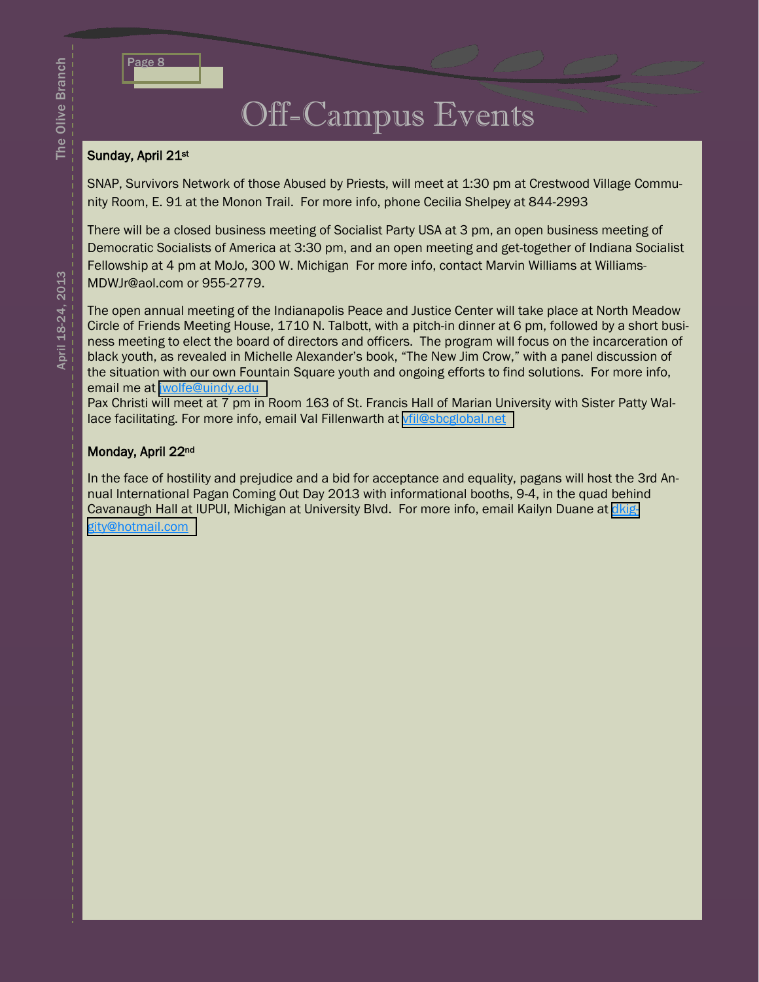| ۰<br>a se<br>- |  |
|----------------|--|
|                |  |

### Off-Campus Events

### Sunday, April 21st

SNAP, Survivors Network of those Abused by Priests, will meet at 1:30 pm at Crestwood Village Community Room, E. 91 at the Monon Trail. For more info, phone Cecilia Shelpey at 844-2993

There will be a closed business meeting of Socialist Party USA at 3 pm, an open business meeting of Democratic Socialists of America at 3:30 pm, and an open meeting and get-together of Indiana Socialist Fellowship at 4 pm at MoJo, 300 W. Michigan For more info, contact Marvin Williams at Williams-MDWJr@aol.com or 955-2779.

The open annual meeting of the Indianapolis Peace and Justice Center will take place at North Meadow Circle of Friends Meeting House, 1710 N. Talbott, with a pitch-in dinner at 6 pm, followed by a short business meeting to elect the board of directors and officers. The program will focus on the incarceration of black youth, as revealed in Michelle Alexander's book, "The New Jim Crow," with a panel discussion of the situation with our own Fountain Square youth and ongoing efforts to find solutions. For more info, email me at [jwolfe@uindy.edu](mailto:jwolfe@uindy.edu)

Pax Christi will meet at 7 pm in Room 163 of St. Francis Hall of Marian University with Sister Patty Wallace facilitating. For more info, email Val Fillenwarth at [vfil@sbcglobal.net](mailto:vfil@sbcglobal.net)

### Monday, April 22nd

In the face of hostility and prejudice and a bid for acceptance and equality, pagans will host the 3rd Annual International Pagan Coming Out Day 2013 with informational booths, 9-4, in the quad behind Cavanaugh Hall at IUPUI, Michigan at University Blvd. For more info, email Kailyn Duane at [dkig](mailto:dkiggity@hotmail.com)[gity@hotmail.com](mailto:dkiggity@hotmail.com)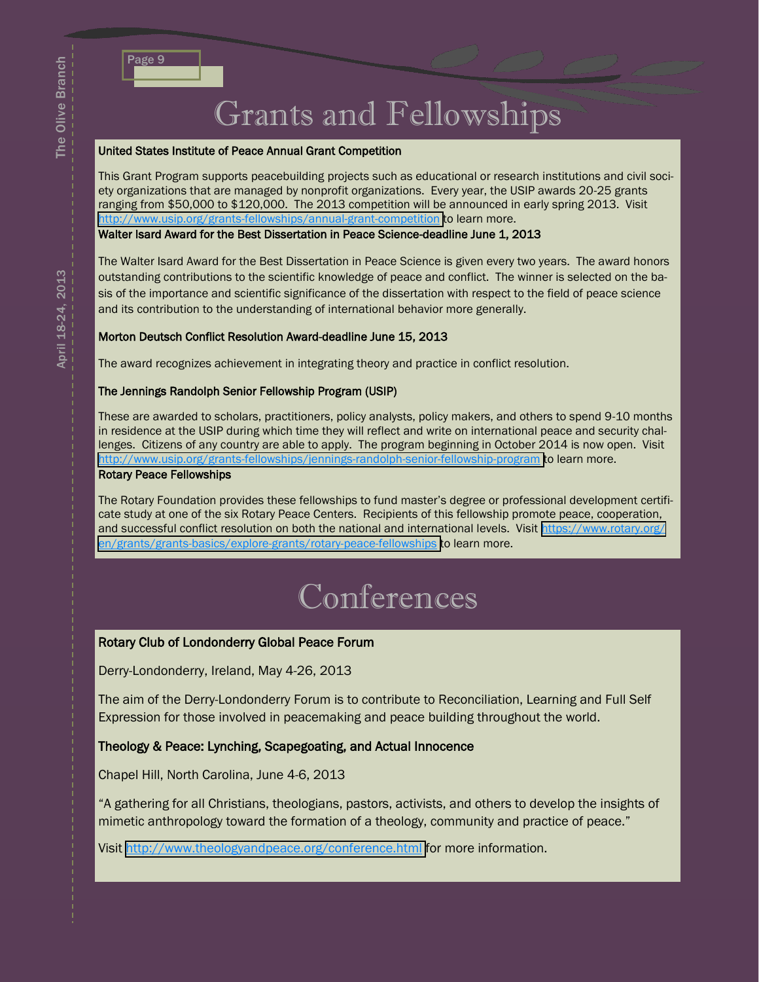# Grants and Fellowships

#### United States Institute of Peace Annual Grant Competition

This Grant Program supports peacebuilding projects such as educational or research institutions and civil society organizations that are managed by nonprofit organizations. Every year, the USIP awards 20-25 grants ranging from \$50,000 to \$120,000. The 2013 competition will be announced in early spring 2013. Visit <http://www.usip.org/grants-fellowships/annual-grant-competition> to learn more.

Walter Isard Award for the Best Dissertation in Peace Science-deadline June 1, 2013

The Walter Isard Award for the Best Dissertation in Peace Science is given every two years. The award honors outstanding contributions to the scientific knowledge of peace and conflict. The winner is selected on the basis of the importance and scientific significance of the dissertation with respect to the field of peace science and its contribution to the understanding of international behavior more generally.

### Morton Deutsch Conflict Resolution Award-deadline June 15, 2013

The award recognizes achievement in integrating theory and practice in conflict resolution.

### The Jennings Randolph Senior Fellowship Program (USIP)

These are awarded to scholars, practitioners, policy analysts, policy makers, and others to spend 9-10 months in residence at the USIP during which time they will reflect and write on international peace and security challenges. Citizens of any country are able to apply. The program beginning in October 2014 is now open. Visit <http://www.usip.org/grants-fellowships/jennings-randolph-senior-fellowship-program> to learn more.

#### Rotary Peace Fellowships

The Rotary Foundation provides these fellowships to fund master's degree or professional development certificate study at one of the six Rotary Peace Centers. Recipients of this fellowship promote peace, cooperation, and successful conflict resolution on both the national and international levels. Visit [https://www.rotary.org/](https://www.rotary.org/en/grants/grants-basics/explore-grants/rotary-peace-fellowships) [en/grants/grants-basics/explore-grants/rotary-peace-fellowships](https://www.rotary.org/en/grants/grants-basics/explore-grants/rotary-peace-fellowships) to learn more.

## Conferences

### Rotary Club of Londonderry Global Peace Forum

Derry-Londonderry, Ireland, May 4-26, 2013

The aim of the Derry-Londonderry Forum is to contribute to Reconciliation, Learning and Full Self Expression for those involved in peacemaking and peace building throughout the world.

### Theology & Peace: Lynching, Scapegoating, and Actual Innocence

Chapel Hill, North Carolina, June 4-6, 2013

"A gathering for all Christians, theologians, pastors, activists, and others to develop the insights of mimetic anthropology toward the formation of a theology, community and practice of peace."

Visit <http://www.theologyandpeace.org/conference.html> for more information.